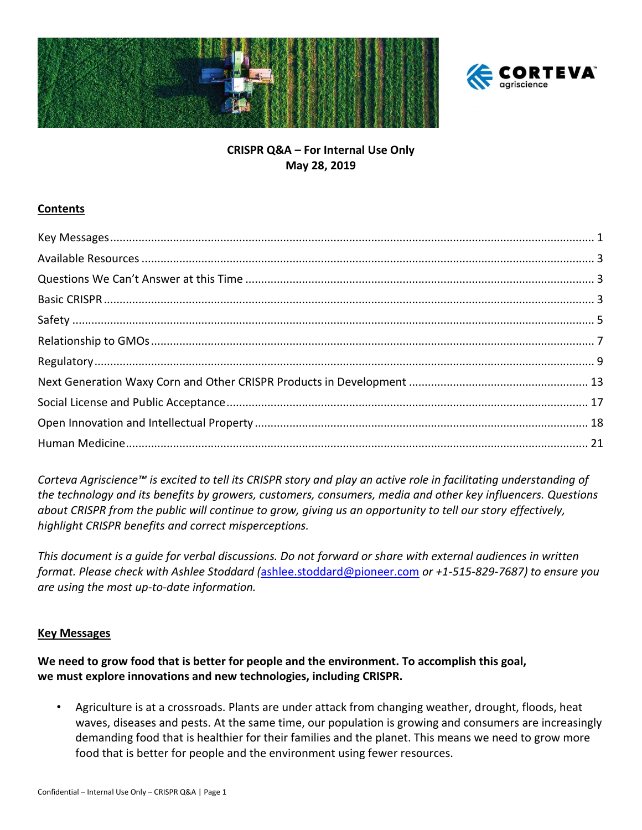



# **CRISPR Q&A – For Internal Use Only May 28, 2019**

#### **Contents**

*Corteva Agriscience™ is excited to tell its CRISPR story and play an active role in facilitating understanding of the technology and its benefits by growers, customers, consumers, media and other key influencers. Questions about CRISPR from the public will continue to grow, giving us an opportunity to tell our story effectively, highlight CRISPR benefits and correct misperceptions.*

*This document is a guide for verbal discussions. Do not forward or share with external audiences in written format. Please check with Ashlee Stoddard (*[ashlee.stoddard@pioneer.com](mailto:ashlee.stoddard@pioneer.com) *or +1-515-829-7687) to ensure you are using the most up-to-date information.*

#### <span id="page-0-0"></span>**Key Messages**

**We need to grow food that is better for people and the environment. To accomplish this goal, we must explore innovations and new technologies, including CRISPR.**

• Agriculture is at a crossroads. Plants are under attack from changing weather, drought, floods, heat waves, diseases and pests. At the same time, our population is growing and consumers are increasingly demanding food that is healthier for their families and the planet. This means we need to grow more food that is better for people and the environment using fewer resources.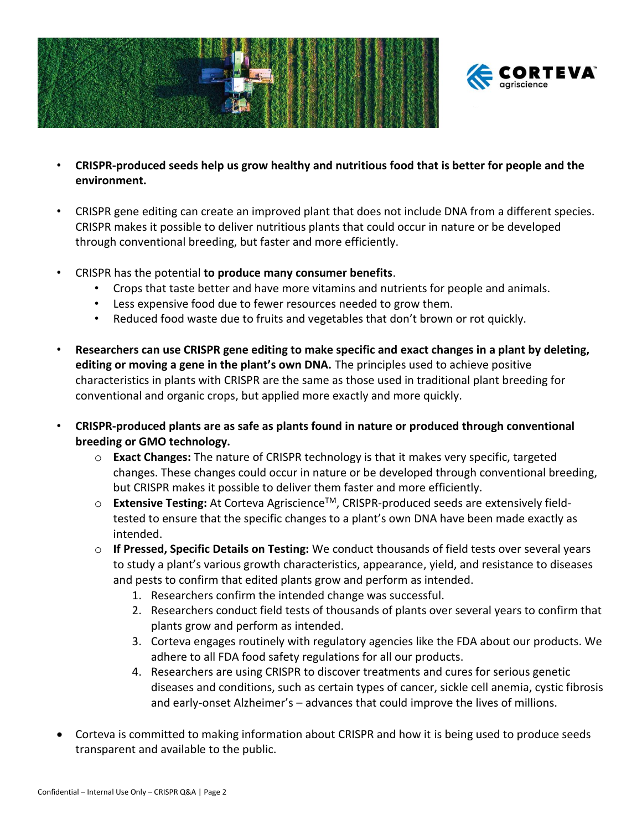



- **CRISPR-produced seeds help us grow healthy and nutritious food that is better for people and the environment.**
- CRISPR gene editing can create an improved plant that does not include DNA from a different species. CRISPR makes it possible to deliver nutritious plants that could occur in nature or be developed through conventional breeding, but faster and more efficiently.
- CRISPR has the potential **to produce many consumer benefits**.
	- Crops that taste better and have more vitamins and nutrients for people and animals.
	- Less expensive food due to fewer resources needed to grow them.
	- Reduced food waste due to fruits and vegetables that don't brown or rot quickly.
- **Researchers can use CRISPR gene editing to make specific and exact changes in a plant by deleting, editing or moving a gene in the plant's own DNA.** The principles used to achieve positive characteristics in plants with CRISPR are the same as those used in traditional plant breeding for conventional and organic crops, but applied more exactly and more quickly.
- **CRISPR-produced plants are as safe as plants found in nature or produced through conventional breeding or GMO technology.**
	- o **Exact Changes:** The nature of CRISPR technology is that it makes very specific, targeted changes. These changes could occur in nature or be developed through conventional breeding, but CRISPR makes it possible to deliver them faster and more efficiently.
	- o **Extensive Testing:** At Corteva AgriscienceTM, CRISPR-produced seeds are extensively fieldtested to ensure that the specific changes to a plant's own DNA have been made exactly as intended.
	- o **If Pressed, Specific Details on Testing:** We conduct thousands of field tests over several years to study a plant's various growth characteristics, appearance, yield, and resistance to diseases and pests to confirm that edited plants grow and perform as intended.
		- 1. Researchers confirm the intended change was successful.
		- 2. Researchers conduct field tests of thousands of plants over several years to confirm that plants grow and perform as intended.
		- 3. Corteva engages routinely with regulatory agencies like the FDA about our products. We adhere to all FDA food safety regulations for all our products.
		- 4. Researchers are using CRISPR to discover treatments and cures for serious genetic diseases and conditions, such as certain types of cancer, sickle cell anemia, cystic fibrosis and early-onset Alzheimer's – advances that could improve the lives of millions.
- Corteva is committed to making information about CRISPR and how it is being used to produce seeds transparent and available to the public.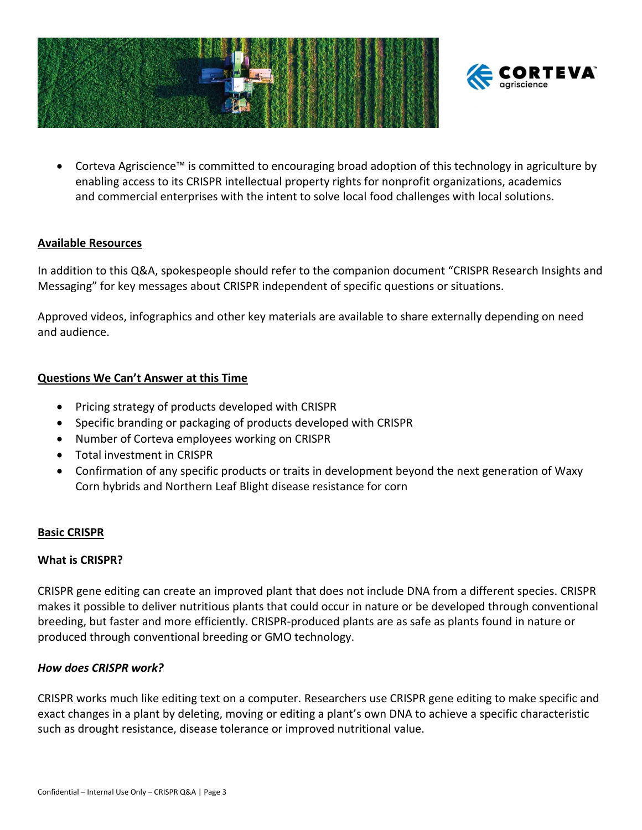



• Corteva Agriscience™ is committed to encouraging broad adoption of this technology in agriculture by enabling access to its CRISPR intellectual property rights for nonprofit organizations, academics and commercial enterprises with the intent to solve local food challenges with local solutions.

#### <span id="page-2-0"></span>**Available Resources**

In addition to this Q&A, spokespeople should refer to the companion document "CRISPR Research Insights and Messaging" for key messages about CRISPR independent of specific questions or situations.

Approved videos, infographics and other key materials are available to share externally depending on need and audience.

#### <span id="page-2-1"></span>**Questions We Can't Answer at this Time**

- Pricing strategy of products developed with CRISPR
- Specific branding or packaging of products developed with CRISPR
- Number of Corteva employees working on CRISPR
- Total investment in CRISPR
- Confirmation of any specific products or traits in development beyond the next generation of Waxy Corn hybrids and Northern Leaf Blight disease resistance for corn

#### <span id="page-2-2"></span>**Basic CRISPR**

#### **What is CRISPR?**

CRISPR gene editing can create an improved plant that does not include DNA from a different species. CRISPR makes it possible to deliver nutritious plants that could occur in nature or be developed through conventional breeding, but faster and more efficiently. CRISPR-produced plants are as safe as plants found in nature or produced through conventional breeding or GMO technology.

#### *How does CRISPR work?*

CRISPR works much like editing text on a computer. Researchers use CRISPR gene editing to make specific and exact changes in a plant by deleting, moving or editing a plant's own DNA to achieve a specific characteristic such as drought resistance, disease tolerance or improved nutritional value.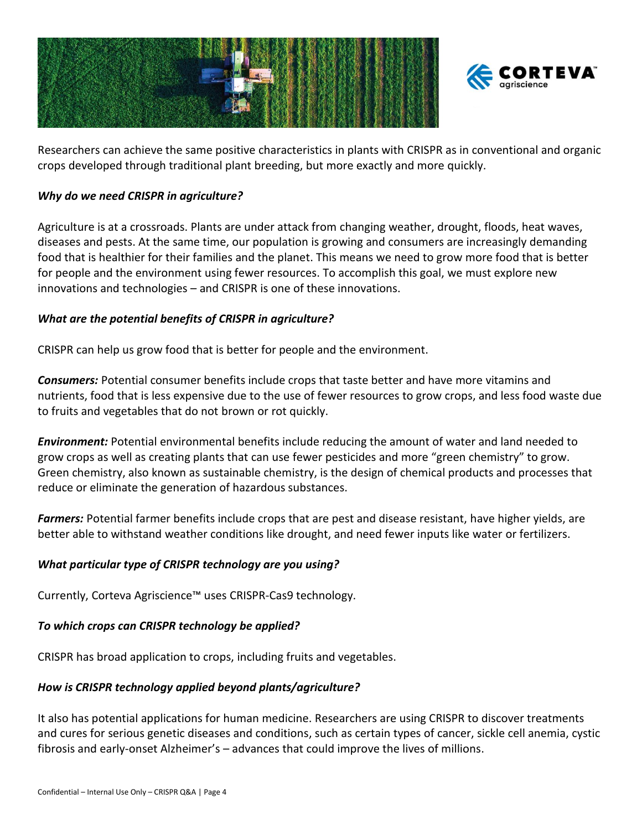



Researchers can achieve the same positive characteristics in plants with CRISPR as in conventional and organic crops developed through traditional plant breeding, but more exactly and more quickly.

#### *Why do we need CRISPR in agriculture?*

Agriculture is at a crossroads. Plants are under attack from changing weather, drought, floods, heat waves, diseases and pests. At the same time, our population is growing and consumers are increasingly demanding food that is healthier for their families and the planet. This means we need to grow more food that is better for people and the environment using fewer resources. To accomplish this goal, we must explore new innovations and technologies – and CRISPR is one of these innovations.

#### *What are the potential benefits of CRISPR in agriculture?*

CRISPR can help us grow food that is better for people and the environment.

*Consumers:* Potential consumer benefits include crops that taste better and have more vitamins and nutrients, food that is less expensive due to the use of fewer resources to grow crops, and less food waste due to fruits and vegetables that do not brown or rot quickly.

*Environment:* Potential environmental benefits include reducing the amount of water and land needed to grow crops as well as creating plants that can use fewer pesticides and more "green chemistry" to grow. Green chemistry, also known as sustainable chemistry, is the design of chemical products and processes that reduce or eliminate the generation of hazardous substances.

*Farmers:* Potential farmer benefits include crops that are pest and disease resistant, have higher yields, are better able to withstand weather conditions like drought, and need fewer inputs like water or fertilizers.

### *What particular type of CRISPR technology are you using?*

Currently, Corteva Agriscience™ uses CRISPR-Cas9 technology.

#### *To which crops can CRISPR technology be applied?*

CRISPR has broad application to crops, including fruits and vegetables.

### *How is CRISPR technology applied beyond plants/agriculture?*

It also has potential applications for human medicine. Researchers are using CRISPR to discover treatments and cures for serious genetic diseases and conditions, such as certain types of cancer, sickle cell anemia, cystic fibrosis and early-onset Alzheimer's – advances that could improve the lives of millions.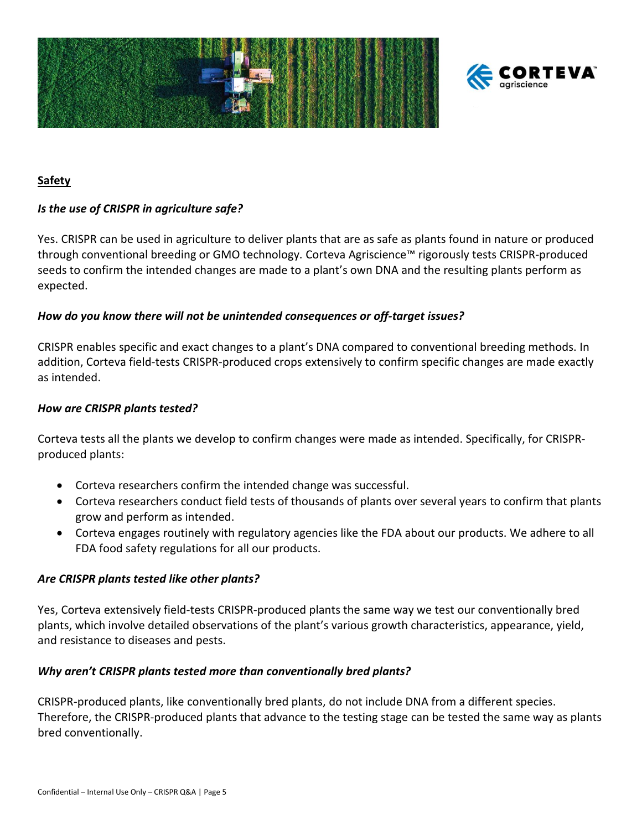



#### <span id="page-4-0"></span>**Safety**

#### *Is the use of CRISPR in agriculture safe?*

Yes. CRISPR can be used in agriculture to deliver plants that are as safe as plants found in nature or produced through conventional breeding or GMO technology. Corteva Agriscience™ rigorously tests CRISPR-produced seeds to confirm the intended changes are made to a plant's own DNA and the resulting plants perform as expected.

#### *How do you know there will not be unintended consequences or off-target issues?*

CRISPR enables specific and exact changes to a plant's DNA compared to conventional breeding methods. In addition, Corteva field-tests CRISPR-produced crops extensively to confirm specific changes are made exactly as intended.

#### *How are CRISPR plants tested?*

Corteva tests all the plants we develop to confirm changes were made as intended. Specifically, for CRISPRproduced plants:

- Corteva researchers confirm the intended change was successful.
- Corteva researchers conduct field tests of thousands of plants over several years to confirm that plants grow and perform as intended.
- Corteva engages routinely with regulatory agencies like the FDA about our products. We adhere to all FDA food safety regulations for all our products.

#### *Are CRISPR plants tested like other plants?*

Yes, Corteva extensively field-tests CRISPR-produced plants the same way we test our conventionally bred plants, which involve detailed observations of the plant's various growth characteristics, appearance, yield, and resistance to diseases and pests.

#### *Why aren't CRISPR plants tested more than conventionally bred plants?*

CRISPR-produced plants, like conventionally bred plants, do not include DNA from a different species. Therefore, the CRISPR-produced plants that advance to the testing stage can be tested the same way as plants bred conventionally.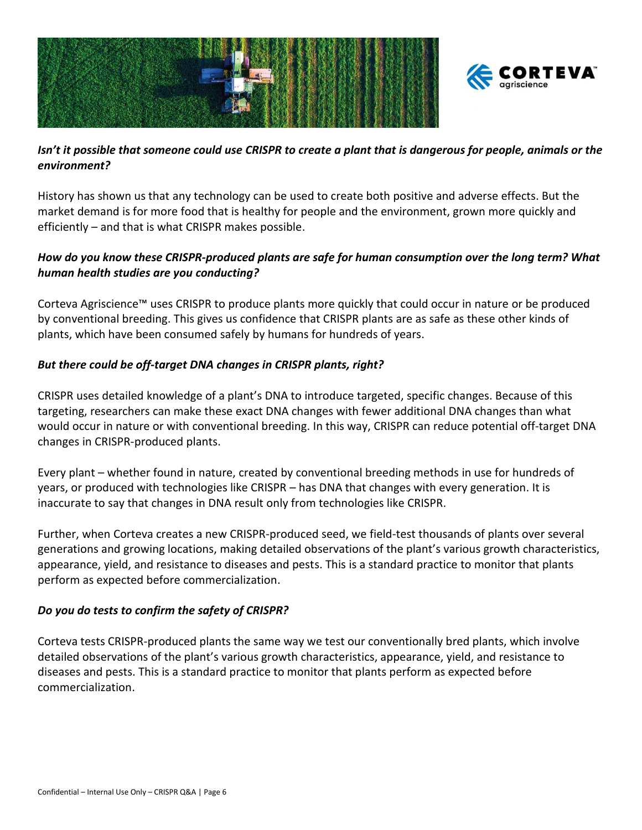



# *Isn't it possible that someone could use CRISPR to create a plant that is dangerous for people, animals or the environment?*

History has shown us that any technology can be used to create both positive and adverse effects. But the market demand is for more food that is healthy for people and the environment, grown more quickly and efficiently – and that is what CRISPR makes possible.

# *How do you know these CRISPR-produced plants are safe for human consumption over the long term? What human health studies are you conducting?*

Corteva Agriscience™ uses CRISPR to produce plants more quickly that could occur in nature or be produced by conventional breeding. This gives us confidence that CRISPR plants are as safe as these other kinds of plants, which have been consumed safely by humans for hundreds of years.

# *But there could be off-target DNA changes in CRISPR plants, right?*

CRISPR uses detailed knowledge of a plant's DNA to introduce targeted, specific changes. Because of this targeting, researchers can make these exact DNA changes with fewer additional DNA changes than what would occur in nature or with conventional breeding. In this way, CRISPR can reduce potential off-target DNA changes in CRISPR-produced plants.

Every plant – whether found in nature, created by conventional breeding methods in use for hundreds of years, or produced with technologies like CRISPR – has DNA that changes with every generation. It is inaccurate to say that changes in DNA result only from technologies like CRISPR.

Further, when Corteva creates a new CRISPR-produced seed, we field-test thousands of plants over several generations and growing locations, making detailed observations of the plant's various growth characteristics, appearance, yield, and resistance to diseases and pests. This is a standard practice to monitor that plants perform as expected before commercialization.

# *Do you do tests to confirm the safety of CRISPR?*

Corteva tests CRISPR-produced plants the same way we test our conventionally bred plants, which involve detailed observations of the plant's various growth characteristics, appearance, yield, and resistance to diseases and pests. This is a standard practice to monitor that plants perform as expected before commercialization.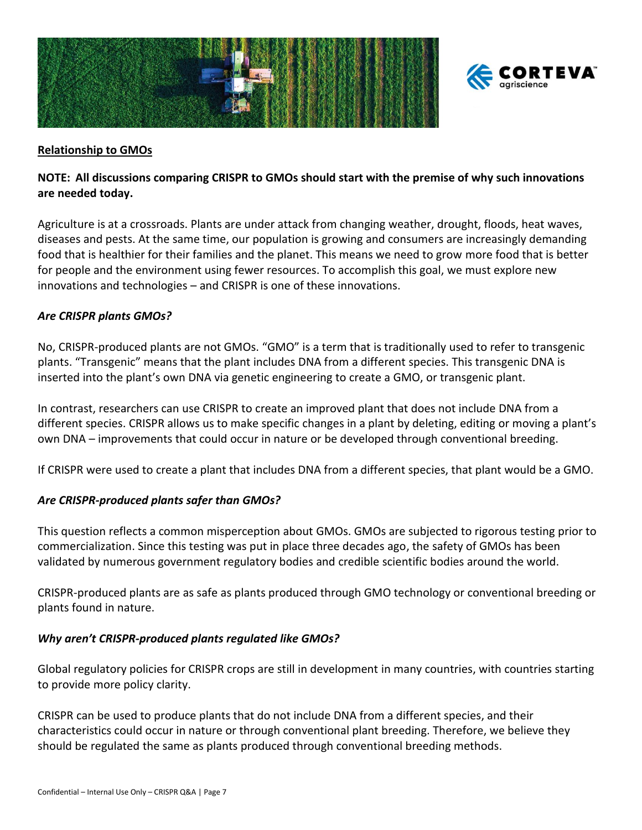



#### <span id="page-6-0"></span>**Relationship to GMOs**

#### **NOTE: All discussions comparing CRISPR to GMOs should start with the premise of why such innovations are needed today.**

Agriculture is at a crossroads. Plants are under attack from changing weather, drought, floods, heat waves, diseases and pests. At the same time, our population is growing and consumers are increasingly demanding food that is healthier for their families and the planet. This means we need to grow more food that is better for people and the environment using fewer resources. To accomplish this goal, we must explore new innovations and technologies – and CRISPR is one of these innovations.

#### *Are CRISPR plants GMOs?*

No, CRISPR-produced plants are not GMOs. "GMO" is a term that is traditionally used to refer to transgenic plants. "Transgenic" means that the plant includes DNA from a different species. This transgenic DNA is inserted into the plant's own DNA via genetic engineering to create a GMO, or transgenic plant.

In contrast, researchers can use CRISPR to create an improved plant that does not include DNA from a different species. CRISPR allows us to make specific changes in a plant by deleting, editing or moving a plant's own DNA – improvements that could occur in nature or be developed through conventional breeding.

If CRISPR were used to create a plant that includes DNA from a different species, that plant would be a GMO.

#### *Are CRISPR-produced plants safer than GMOs?*

This question reflects a common misperception about GMOs. GMOs are subjected to rigorous testing prior to commercialization. Since this testing was put in place three decades ago, the safety of GMOs has been validated by numerous government regulatory bodies and credible scientific bodies around the world.

CRISPR-produced plants are as safe as plants produced through GMO technology or conventional breeding or plants found in nature.

#### *Why aren't CRISPR-produced plants regulated like GMOs?*

Global regulatory policies for CRISPR crops are still in development in many countries, with countries starting to provide more policy clarity.

CRISPR can be used to produce plants that do not include DNA from a different species, and their characteristics could occur in nature or through conventional plant breeding. Therefore, we believe they should be regulated the same as plants produced through conventional breeding methods.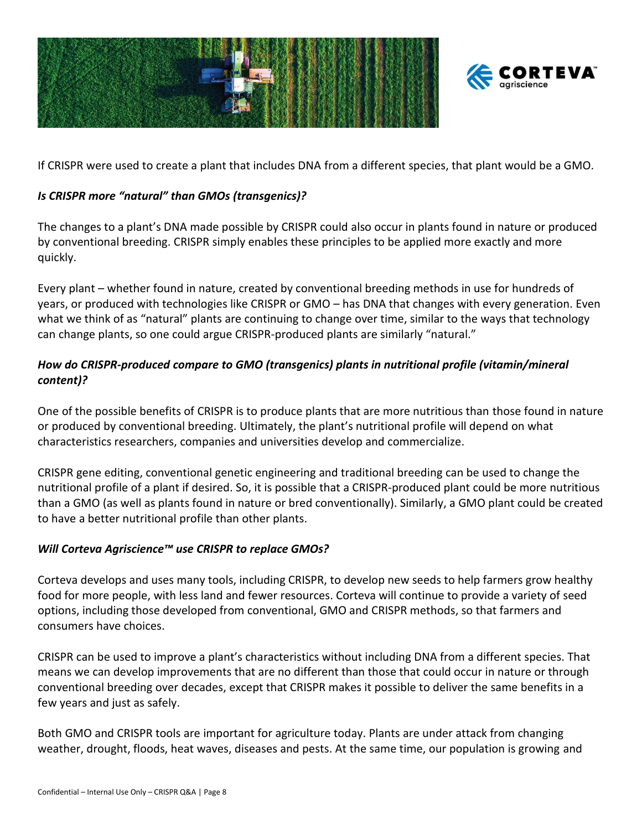



If CRISPR were used to create a plant that includes DNA from a different species, that plant would be a GMO.

# *Is CRISPR more "natural" than GMOs (transgenics)?*

The changes to a plant's DNA made possible by CRISPR could also occur in plants found in nature or produced by conventional breeding. CRISPR simply enables these principles to be applied more exactly and more quickly.

Every plant – whether found in nature, created by conventional breeding methods in use for hundreds of years, or produced with technologies like CRISPR or GMO – has DNA that changes with every generation. Even what we think of as "natural" plants are continuing to change over time, similar to the ways that technology can change plants, so one could argue CRISPR-produced plants are similarly "natural."

# *How do CRISPR-produced compare to GMO (transgenics) plants in nutritional profile (vitamin/mineral content)?*

One of the possible benefits of CRISPR is to produce plants that are more nutritious than those found in nature or produced by conventional breeding. Ultimately, the plant's nutritional profile will depend on what characteristics researchers, companies and universities develop and commercialize.

CRISPR gene editing, conventional genetic engineering and traditional breeding can be used to change the nutritional profile of a plant if desired. So, it is possible that a CRISPR-produced plant could be more nutritious than a GMO (as well as plants found in nature or bred conventionally). Similarly, a GMO plant could be created to have a better nutritional profile than other plants.

### *Will Corteva Agriscience™ use CRISPR to replace GMOs?*

Corteva develops and uses many tools, including CRISPR, to develop new seeds to help farmers grow healthy food for more people, with less land and fewer resources. Corteva will continue to provide a variety of seed options, including those developed from conventional, GMO and CRISPR methods, so that farmers and consumers have choices.

CRISPR can be used to improve a plant's characteristics without including DNA from a different species. That means we can develop improvements that are no different than those that could occur in nature or through conventional breeding over decades, except that CRISPR makes it possible to deliver the same benefits in a few years and just as safely.

Both GMO and CRISPR tools are important for agriculture today. Plants are under attack from changing weather, drought, floods, heat waves, diseases and pests. At the same time, our population is growing and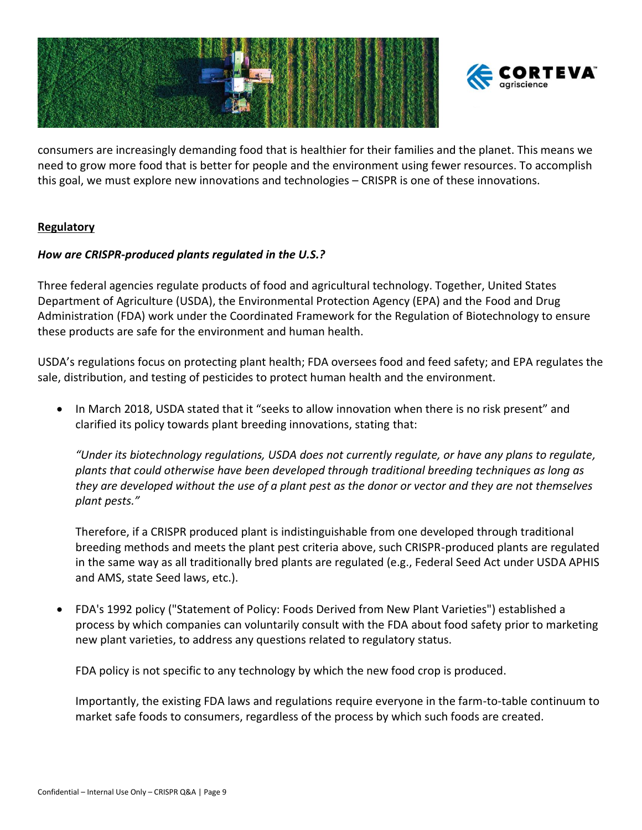



consumers are increasingly demanding food that is healthier for their families and the planet. This means we need to grow more food that is better for people and the environment using fewer resources. To accomplish this goal, we must explore new innovations and technologies – CRISPR is one of these innovations.

#### <span id="page-8-0"></span>**Regulatory**

#### *How are CRISPR-produced plants regulated in the U.S.?*

Three federal agencies regulate products of food and agricultural technology. Together, United States Department of Agriculture (USDA), the Environmental Protection Agency (EPA) and the Food and Drug Administration (FDA) work under the Coordinated Framework for the Regulation of Biotechnology to ensure these products are safe for the environment and human health.

USDA's regulations focus on protecting plant health; FDA oversees food and feed safety; and EPA regulates the sale, distribution, and testing of pesticides to protect human health and the environment.

• In March 2018, USDA stated that it "seeks to allow innovation when there is no risk present" and clarified its policy towards plant breeding innovations, stating that:

*"Under its biotechnology regulations, USDA does not currently regulate, or have any plans to regulate, plants that could otherwise have been developed through traditional breeding techniques as long as they are developed without the use of a plant pest as the donor or vector and they are not themselves plant pests."*

Therefore, if a CRISPR produced plant is indistinguishable from one developed through traditional breeding methods and meets the plant pest criteria above, such CRISPR-produced plants are regulated in the same way as all traditionally bred plants are regulated (e.g., Federal Seed Act under USDA APHIS and AMS, state Seed laws, etc.).

• FDA's 1992 policy ("Statement of Policy: Foods Derived from New Plant Varieties") established a process by which companies can voluntarily consult with the FDA about food safety prior to marketing new plant varieties, to address any questions related to regulatory status.

FDA policy is not specific to any technology by which the new food crop is produced.

Importantly, the existing FDA laws and regulations require everyone in the farm-to-table continuum to market safe foods to consumers, regardless of the process by which such foods are created.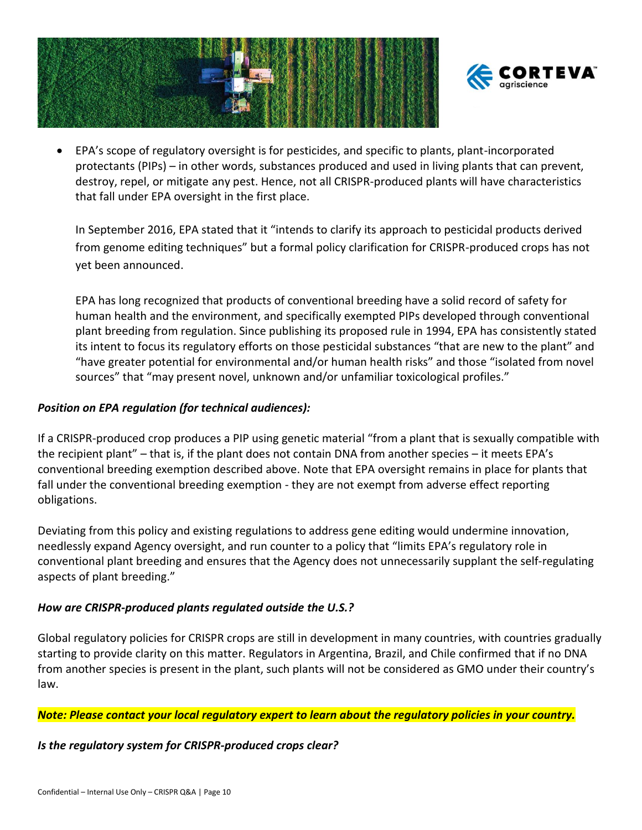



• EPA's scope of regulatory oversight is for pesticides, and specific to plants, plant-incorporated protectants (PIPs) – in other words, substances produced and used in living plants that can prevent, destroy, repel, or mitigate any pest. Hence, not all CRISPR-produced plants will have characteristics that fall under EPA oversight in the first place.

In September 2016, EPA stated that it "intends to clarify its approach to pesticidal products derived from genome editing techniques" but a formal policy clarification for CRISPR-produced crops has not yet been announced.

EPA has long recognized that products of conventional breeding have a solid record of safety for human health and the environment, and specifically exempted PIPs developed through conventional plant breeding from regulation. Since publishing its proposed rule in 1994, EPA has consistently stated its intent to focus its regulatory efforts on those pesticidal substances "that are new to the plant" and "have greater potential for environmental and/or human health risks" and those "isolated from novel sources" that "may present novel, unknown and/or unfamiliar toxicological profiles."

#### *Position on EPA regulation (for technical audiences):*

If a CRISPR-produced crop produces a PIP using genetic material "from a plant that is sexually compatible with the recipient plant" – that is, if the plant does not contain DNA from another species – it meets EPA's conventional breeding exemption described above. Note that EPA oversight remains in place for plants that fall under the conventional breeding exemption - they are not exempt from adverse effect reporting obligations.

Deviating from this policy and existing regulations to address gene editing would undermine innovation, needlessly expand Agency oversight, and run counter to a policy that "limits EPA's regulatory role in conventional plant breeding and ensures that the Agency does not unnecessarily supplant the self-regulating aspects of plant breeding."

### *How are CRISPR-produced plants regulated outside the U.S.?*

Global regulatory policies for CRISPR crops are still in development in many countries, with countries gradually starting to provide clarity on this matter. Regulators in Argentina, Brazil, and Chile confirmed that if no DNA from another species is present in the plant, such plants will not be considered as GMO under their country's law.

*Note: Please contact your local regulatory expert to learn about the regulatory policies in your country.*

#### *Is the regulatory system for CRISPR-produced crops clear?*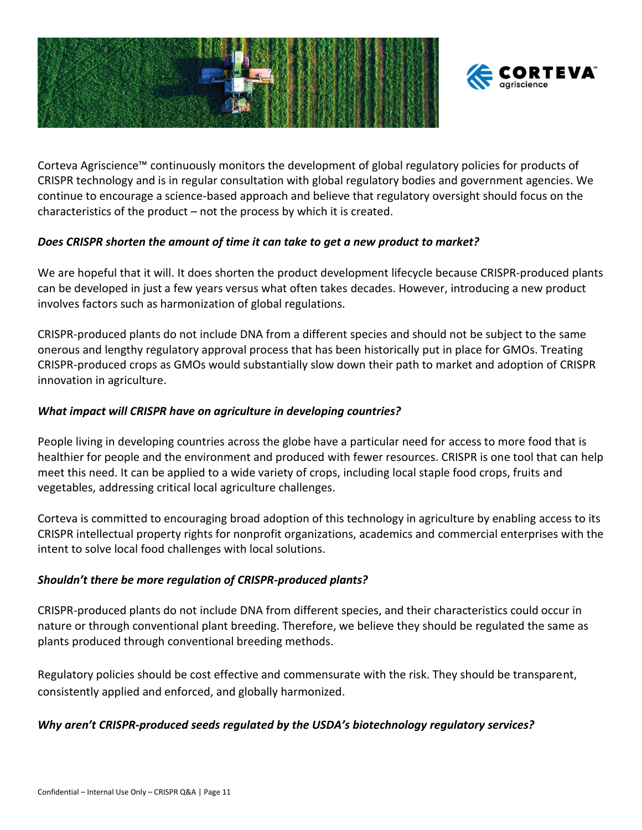



Corteva Agriscience™ continuously monitors the development of global regulatory policies for products of CRISPR technology and is in regular consultation with global regulatory bodies and government agencies. We continue to encourage a science-based approach and believe that regulatory oversight should focus on the characteristics of the product – not the process by which it is created.

#### *Does CRISPR shorten the amount of time it can take to get a new product to market?*

We are hopeful that it will. It does shorten the product development lifecycle because CRISPR-produced plants can be developed in just a few years versus what often takes decades. However, introducing a new product involves factors such as harmonization of global regulations.

CRISPR-produced plants do not include DNA from a different species and should not be subject to the same onerous and lengthy regulatory approval process that has been historically put in place for GMOs. Treating CRISPR-produced crops as GMOs would substantially slow down their path to market and adoption of CRISPR innovation in agriculture.

### *What impact will CRISPR have on agriculture in developing countries?*

People living in developing countries across the globe have a particular need for access to more food that is healthier for people and the environment and produced with fewer resources. CRISPR is one tool that can help meet this need. It can be applied to a wide variety of crops, including local staple food crops, fruits and vegetables, addressing critical local agriculture challenges.

Corteva is committed to encouraging broad adoption of this technology in agriculture by enabling access to its CRISPR intellectual property rights for nonprofit organizations, academics and commercial enterprises with the intent to solve local food challenges with local solutions.

### *Shouldn't there be more regulation of CRISPR-produced plants?*

CRISPR-produced plants do not include DNA from different species, and their characteristics could occur in nature or through conventional plant breeding. Therefore, we believe they should be regulated the same as plants produced through conventional breeding methods.

Regulatory policies should be cost effective and commensurate with the risk. They should be transparent, consistently applied and enforced, and globally harmonized.

### *Why aren't CRISPR-produced seeds regulated by the USDA's biotechnology regulatory services?*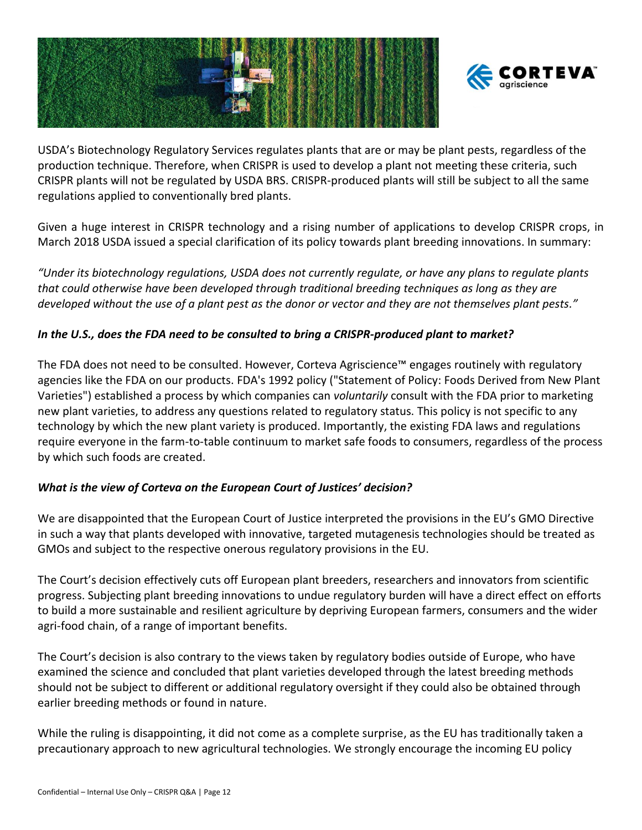



USDA's Biotechnology Regulatory Services regulates plants that are or may be plant pests, regardless of the production technique. Therefore, when CRISPR is used to develop a plant not meeting these criteria, such CRISPR plants will not be regulated by USDA BRS. CRISPR-produced plants will still be subject to all the same regulations applied to conventionally bred plants.

Given a huge interest in CRISPR technology and a rising number of applications to develop CRISPR crops, in March 2018 USDA issued a special clarification of its policy towards plant breeding innovations. In summary:

*"Under its biotechnology regulations, USDA does not currently regulate, or have any plans to regulate plants that could otherwise have been developed through traditional breeding techniques as long as they are developed without the use of a plant pest as the donor or vector and they are not themselves plant pests."*

### *In the U.S., does the FDA need to be consulted to bring a CRISPR-produced plant to market?*

The FDA does not need to be consulted. However, Corteva Agriscience™ engages routinely with regulatory agencies like the FDA on our products. FDA's 1992 policy ("Statement of Policy: Foods Derived from New Plant Varieties") established a process by which companies can *voluntarily* consult with the FDA prior to marketing new plant varieties, to address any questions related to regulatory status. This policy is not specific to any technology by which the new plant variety is produced. Importantly, the existing FDA laws and regulations require everyone in the farm-to-table continuum to market safe foods to consumers, regardless of the process by which such foods are created.

### *What is the view of Corteva on the European Court of Justices' decision?*

We are disappointed that the European Court of Justice interpreted the provisions in the EU's GMO Directive in such a way that plants developed with innovative, targeted mutagenesis technologies should be treated as GMOs and subject to the respective onerous regulatory provisions in the EU.

The Court's decision effectively cuts off European plant breeders, researchers and innovators from scientific progress. Subjecting plant breeding innovations to undue regulatory burden will have a direct effect on efforts to build a more sustainable and resilient agriculture by depriving European farmers, consumers and the wider agri-food chain, of a range of important benefits.

The Court's decision is also contrary to the views taken by regulatory bodies outside of Europe, who have examined the science and concluded that plant varieties developed through the latest breeding methods should not be subject to different or additional regulatory oversight if they could also be obtained through earlier breeding methods or found in nature.

While the ruling is disappointing, it did not come as a complete surprise, as the EU has traditionally taken a precautionary approach to new agricultural technologies. We strongly encourage the incoming EU policy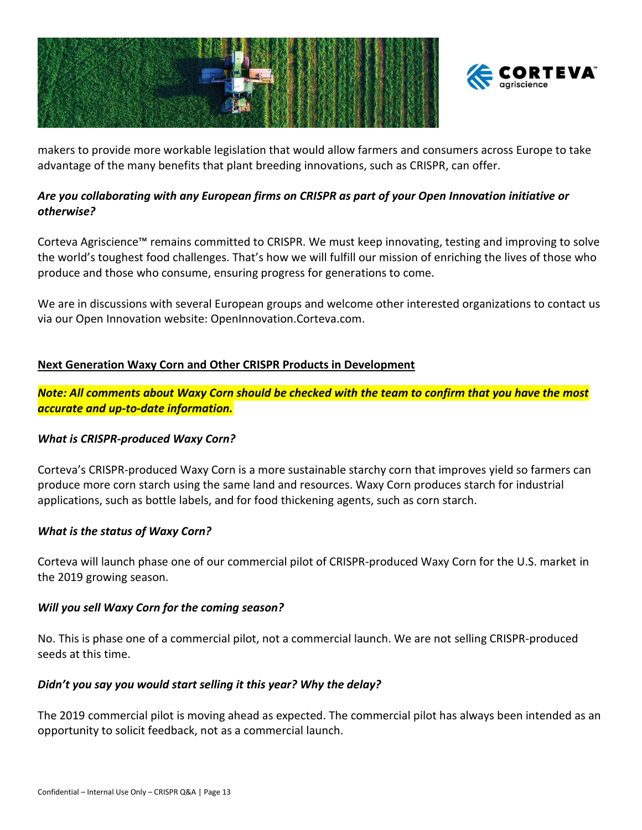



makers to provide more workable legislation that would allow farmers and consumers across Europe to take advantage of the many benefits that plant breeding innovations, such as CRISPR, can offer.

# *Are you collaborating with any European firms on CRISPR as part of your Open Innovation initiative or otherwise?*

Corteva Agriscience™ remains committed to CRISPR. We must keep innovating, testing and improving to solve the world's toughest food challenges. That's how we will fulfill our mission of enriching the lives of those who produce and those who consume, ensuring progress for generations to come.

We are in discussions with several European groups and welcome other interested organizations to contact us via our Open Innovation website: OpenInnovation.Corteva.com.

# <span id="page-12-0"></span>**Next Generation Waxy Corn and Other CRISPR Products in Development**

*Note: All comments about Waxy Corn should be checked with the team to confirm that you have the most accurate and up-to-date information.*

### *What is CRISPR-produced Waxy Corn?*

Corteva's CRISPR-produced Waxy Corn is a more sustainable starchy corn that improves yield so farmers can produce more corn starch using the same land and resources. Waxy Corn produces starch for industrial applications, such as bottle labels, and for food thickening agents, such as corn starch.

### *What is the status of Waxy Corn?*

Corteva will launch phase one of our commercial pilot of CRISPR-produced Waxy Corn for the U.S. market in the 2019 growing season.

### *Will you sell Waxy Corn for the coming season?*

No. This is phase one of a commercial pilot, not a commercial launch. We are not selling CRISPR-produced seeds at this time.

### *Didn't you say you would start selling it this year? Why the delay?*

The 2019 commercial pilot is moving ahead as expected. The commercial pilot has always been intended as an opportunity to solicit feedback, not as a commercial launch.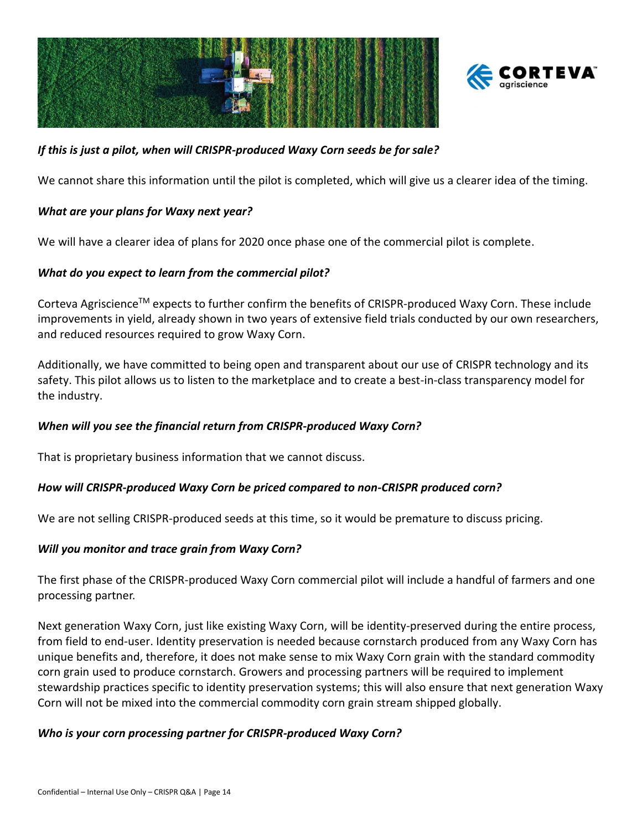



### *If this is just a pilot, when will CRISPR-produced Waxy Corn seeds be for sale?*

We cannot share this information until the pilot is completed, which will give us a clearer idea of the timing.

#### *What are your plans for Waxy next year?*

We will have a clearer idea of plans for 2020 once phase one of the commercial pilot is complete.

#### *What do you expect to learn from the commercial pilot?*

Corteva AgriscienceTM expects to further confirm the benefits of CRISPR-produced Waxy Corn. These include improvements in yield, already shown in two years of extensive field trials conducted by our own researchers, and reduced resources required to grow Waxy Corn.

Additionally, we have committed to being open and transparent about our use of CRISPR technology and its safety. This pilot allows us to listen to the marketplace and to create a best-in-class transparency model for the industry.

### *When will you see the financial return from CRISPR-produced Waxy Corn?*

That is proprietary business information that we cannot discuss.

#### *How will CRISPR-produced Waxy Corn be priced compared to non-CRISPR produced corn?*

We are not selling CRISPR-produced seeds at this time, so it would be premature to discuss pricing.

### *Will you monitor and trace grain from Waxy Corn?*

The first phase of the CRISPR-produced Waxy Corn commercial pilot will include a handful of farmers and one processing partner.

Next generation Waxy Corn, just like existing Waxy Corn, will be identity-preserved during the entire process, from field to end-user. Identity preservation is needed because cornstarch produced from any Waxy Corn has unique benefits and, therefore, it does not make sense to mix Waxy Corn grain with the standard commodity corn grain used to produce cornstarch. Growers and processing partners will be required to implement stewardship practices specific to identity preservation systems; this will also ensure that next generation Waxy Corn will not be mixed into the commercial commodity corn grain stream shipped globally.

#### *Who is your corn processing partner for CRISPR-produced Waxy Corn?*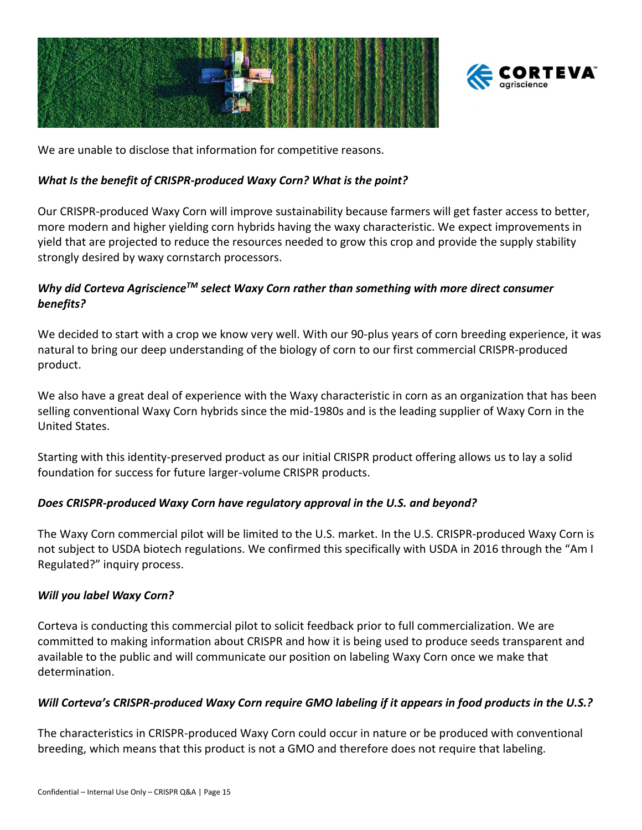



We are unable to disclose that information for competitive reasons.

#### *What Is the benefit of CRISPR-produced Waxy Corn? What is the point?*

Our CRISPR-produced Waxy Corn will improve sustainability because farmers will get faster access to better, more modern and higher yielding corn hybrids having the waxy characteristic. We expect improvements in yield that are projected to reduce the resources needed to grow this crop and provide the supply stability strongly desired by waxy cornstarch processors.

### *Why did Corteva AgriscienceTM select Waxy Corn rather than something with more direct consumer benefits?*

We decided to start with a crop we know very well. With our 90-plus years of corn breeding experience, it was natural to bring our deep understanding of the biology of corn to our first commercial CRISPR-produced product.

We also have a great deal of experience with the Waxy characteristic in corn as an organization that has been selling conventional Waxy Corn hybrids since the mid-1980s and is the leading supplier of Waxy Corn in the United States.

Starting with this identity-preserved product as our initial CRISPR product offering allows us to lay a solid foundation for success for future larger-volume CRISPR products.

### *Does CRISPR-produced Waxy Corn have regulatory approval in the U.S. and beyond?*

The Waxy Corn commercial pilot will be limited to the U.S. market. In the U.S. CRISPR-produced Waxy Corn is not subject to USDA biotech regulations. We confirmed this specifically with USDA in 2016 through the "Am I Regulated?" inquiry process.

#### *Will you label Waxy Corn?*

Corteva is conducting this commercial pilot to solicit feedback prior to full commercialization. We are committed to making information about CRISPR and how it is being used to produce seeds transparent and available to the public and will communicate our position on labeling Waxy Corn once we make that determination.

### *Will Corteva's CRISPR-produced Waxy Corn require GMO labeling if it appears in food products in the U.S.?*

The characteristics in CRISPR-produced Waxy Corn could occur in nature or be produced with conventional breeding, which means that this product is not a GMO and therefore does not require that labeling.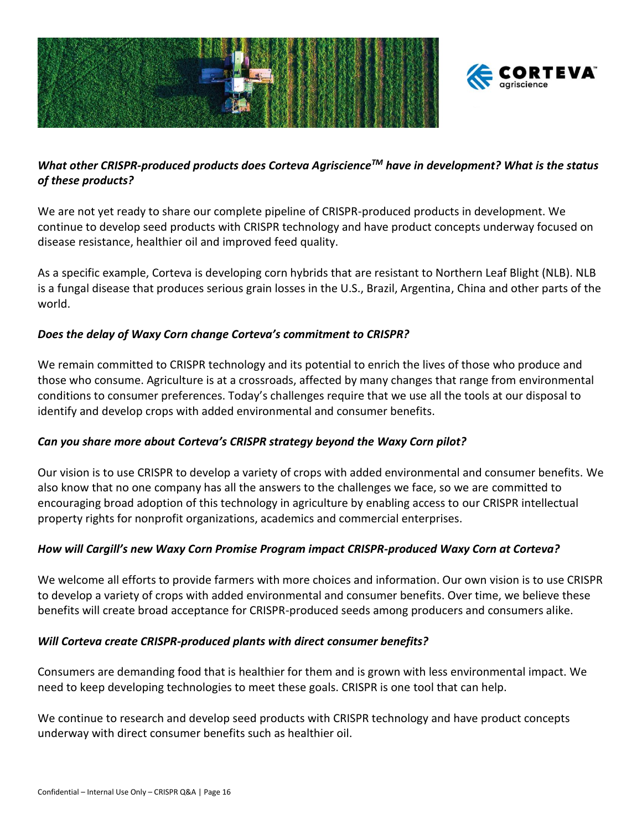



# *What other CRISPR-produced products does Corteva AgriscienceTM have in development? What is the status of these products?*

We are not yet ready to share our complete pipeline of CRISPR-produced products in development. We continue to develop seed products with CRISPR technology and have product concepts underway focused on disease resistance, healthier oil and improved feed quality.

As a specific example, Corteva is developing corn hybrids that are resistant to Northern Leaf Blight (NLB). NLB is a fungal disease that produces serious grain losses in the U.S., Brazil, Argentina, China and other parts of the world.

# *Does the delay of Waxy Corn change Corteva's commitment to CRISPR?*

We remain committed to CRISPR technology and its potential to enrich the lives of those who produce and those who consume. Agriculture is at a crossroads, affected by many changes that range from environmental conditions to consumer preferences. Today's challenges require that we use all the tools at our disposal to identify and develop crops with added environmental and consumer benefits.

### *Can you share more about Corteva's CRISPR strategy beyond the Waxy Corn pilot?*

Our vision is to use CRISPR to develop a variety of crops with added environmental and consumer benefits. We also know that no one company has all the answers to the challenges we face, so we are committed to encouraging broad adoption of this technology in agriculture by enabling access to our CRISPR intellectual property rights for nonprofit organizations, academics and commercial enterprises.

### *How will Cargill's new Waxy Corn Promise Program impact CRISPR-produced Waxy Corn at Corteva?*

We welcome all efforts to provide farmers with more choices and information. Our own vision is to use CRISPR to develop a variety of crops with added environmental and consumer benefits. Over time, we believe these benefits will create broad acceptance for CRISPR-produced seeds among producers and consumers alike.

### *Will Corteva create CRISPR-produced plants with direct consumer benefits?*

Consumers are demanding food that is healthier for them and is grown with less environmental impact. We need to keep developing technologies to meet these goals. CRISPR is one tool that can help.

We continue to research and develop seed products with CRISPR technology and have product concepts underway with direct consumer benefits such as healthier oil.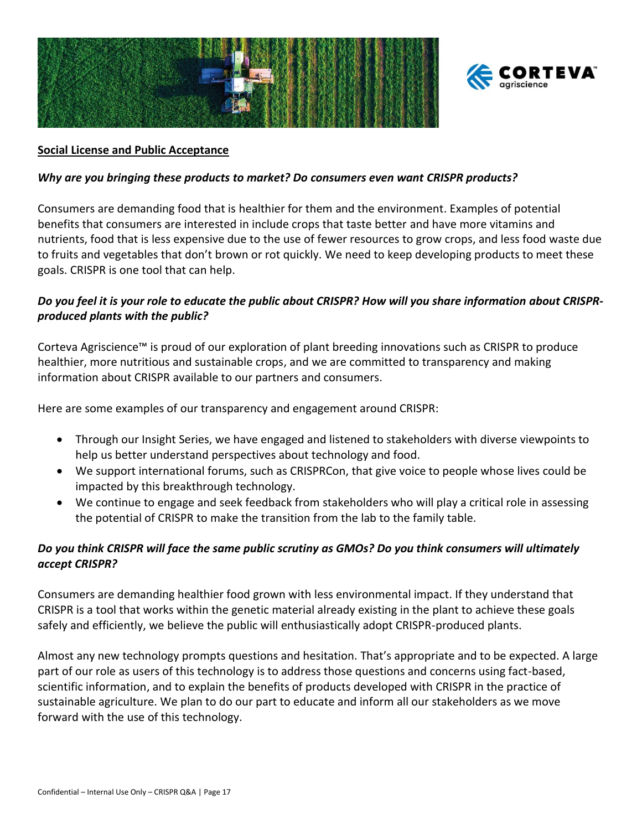



#### <span id="page-16-0"></span>**Social License and Public Acceptance**

#### *Why are you bringing these products to market? Do consumers even want CRISPR products?*

Consumers are demanding food that is healthier for them and the environment. Examples of potential benefits that consumers are interested in include crops that taste better and have more vitamins and nutrients, food that is less expensive due to the use of fewer resources to grow crops, and less food waste due to fruits and vegetables that don't brown or rot quickly. We need to keep developing products to meet these goals. CRISPR is one tool that can help.

#### *Do you feel it is your role to educate the public about CRISPR? How will you share information about CRISPRproduced plants with the public?*

Corteva Agriscience™ is proud of our exploration of plant breeding innovations such as CRISPR to produce healthier, more nutritious and sustainable crops, and we are committed to transparency and making information about CRISPR available to our partners and consumers.

Here are some examples of our transparency and engagement around CRISPR:

- Through our Insight Series, we have engaged and listened to stakeholders with diverse viewpoints to help us better understand perspectives about technology and food.
- We support international forums, such as CRISPRCon, that give voice to people whose lives could be impacted by this breakthrough technology.
- We continue to engage and seek feedback from stakeholders who will play a critical role in assessing the potential of CRISPR to make the transition from the lab to the family table.

### *Do you think CRISPR will face the same public scrutiny as GMOs? Do you think consumers will ultimately accept CRISPR?*

Consumers are demanding healthier food grown with less environmental impact. If they understand that CRISPR is a tool that works within the genetic material already existing in the plant to achieve these goals safely and efficiently, we believe the public will enthusiastically adopt CRISPR-produced plants.

Almost any new technology prompts questions and hesitation. That's appropriate and to be expected. A large part of our role as users of this technology is to address those questions and concerns using fact-based, scientific information, and to explain the benefits of products developed with CRISPR in the practice of sustainable agriculture. We plan to do our part to educate and inform all our stakeholders as we move forward with the use of this technology.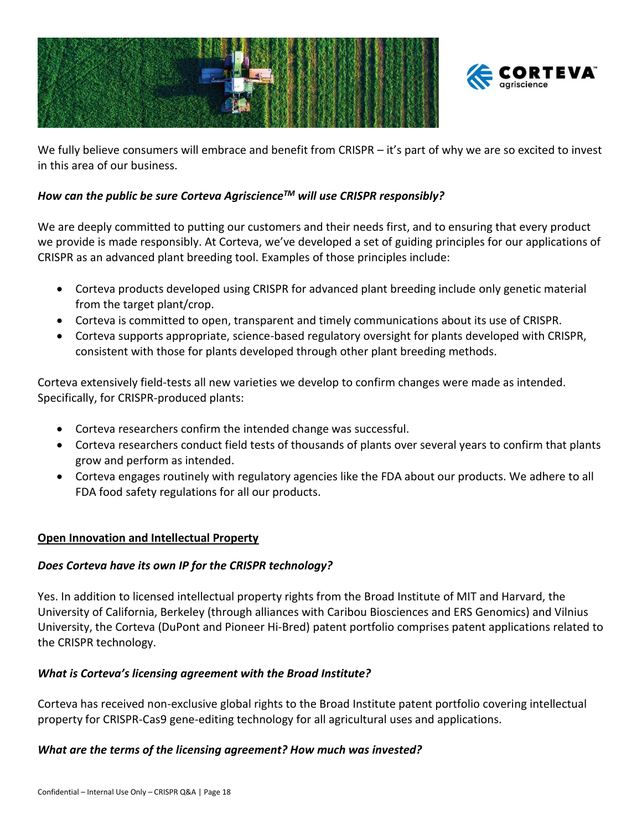



We fully believe consumers will embrace and benefit from CRISPR – it's part of why we are so excited to invest in this area of our business.

## *How can the public be sure Corteva AgriscienceTM will use CRISPR responsibly?*

We are deeply committed to putting our customers and their needs first, and to ensuring that every product we provide is made responsibly. At Corteva, we've developed a set of guiding principles for our applications of CRISPR as an advanced plant breeding tool. Examples of those principles include:

- Corteva products developed using CRISPR for advanced plant breeding include only genetic material from the target plant/crop.
- Corteva is committed to open, transparent and timely communications about its use of CRISPR.
- Corteva supports appropriate, science-based regulatory oversight for plants developed with CRISPR, consistent with those for plants developed through other plant breeding methods.

Corteva extensively field-tests all new varieties we develop to confirm changes were made as intended. Specifically, for CRISPR-produced plants:

- Corteva researchers confirm the intended change was successful.
- Corteva researchers conduct field tests of thousands of plants over several years to confirm that plants grow and perform as intended.
- Corteva engages routinely with regulatory agencies like the FDA about our products. We adhere to all FDA food safety regulations for all our products.

### <span id="page-17-0"></span>**Open Innovation and Intellectual Property**

### *Does Corteva have its own IP for the CRISPR technology?*

Yes. In addition to licensed intellectual property rights from the Broad Institute of MIT and Harvard, the University of California, Berkeley (through alliances with Caribou Biosciences and ERS Genomics) and Vilnius University, the Corteva (DuPont and Pioneer Hi-Bred) patent portfolio comprises patent applications related to the CRISPR technology.

### *What is Corteva's licensing agreement with the Broad Institute?*

Corteva has received non-exclusive global rights to the Broad Institute patent portfolio covering intellectual property for CRISPR-Cas9 gene-editing technology for all agricultural uses and applications.

#### *What are the terms of the licensing agreement? How much was invested?*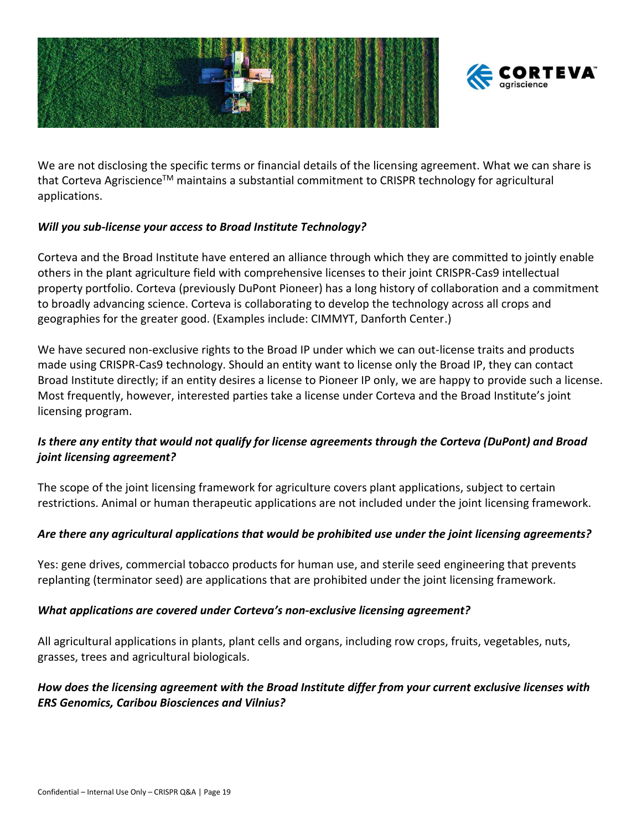



We are not disclosing the specific terms or financial details of the licensing agreement. What we can share is that Corteva Agriscience™ maintains a substantial commitment to CRISPR technology for agricultural applications.

# *Will you sub-license your access to Broad Institute Technology?*

Corteva and the Broad Institute have entered an alliance through which they are committed to jointly enable others in the plant agriculture field with comprehensive licenses to their joint CRISPR-Cas9 intellectual property portfolio. Corteva (previously DuPont Pioneer) has a long history of collaboration and a commitment to broadly advancing science. Corteva is collaborating to develop the technology across all crops and geographies for the greater good. (Examples include: CIMMYT, Danforth Center.)

We have secured non-exclusive rights to the Broad IP under which we can out-license traits and products made using CRISPR-Cas9 technology. Should an entity want to license only the Broad IP, they can contact Broad Institute directly; if an entity desires a license to Pioneer IP only, we are happy to provide such a license. Most frequently, however, interested parties take a license under Corteva and the Broad Institute's joint licensing program.

# *Is there any entity that would not qualify for license agreements through the Corteva (DuPont) and Broad joint licensing agreement?*

The scope of the joint licensing framework for agriculture covers plant applications, subject to certain restrictions. Animal or human therapeutic applications are not included under the joint licensing framework.

### *Are there any agricultural applications that would be prohibited use under the joint licensing agreements?*

Yes: gene drives, commercial tobacco products for human use, and sterile seed engineering that prevents replanting (terminator seed) are applications that are prohibited under the joint licensing framework.

### *What applications are covered under Corteva's non-exclusive licensing agreement?*

All agricultural applications in plants, plant cells and organs, including row crops, fruits, vegetables, nuts, grasses, trees and agricultural biologicals.

# *How does the licensing agreement with the Broad Institute differ from your current exclusive licenses with ERS Genomics, Caribou Biosciences and Vilnius?*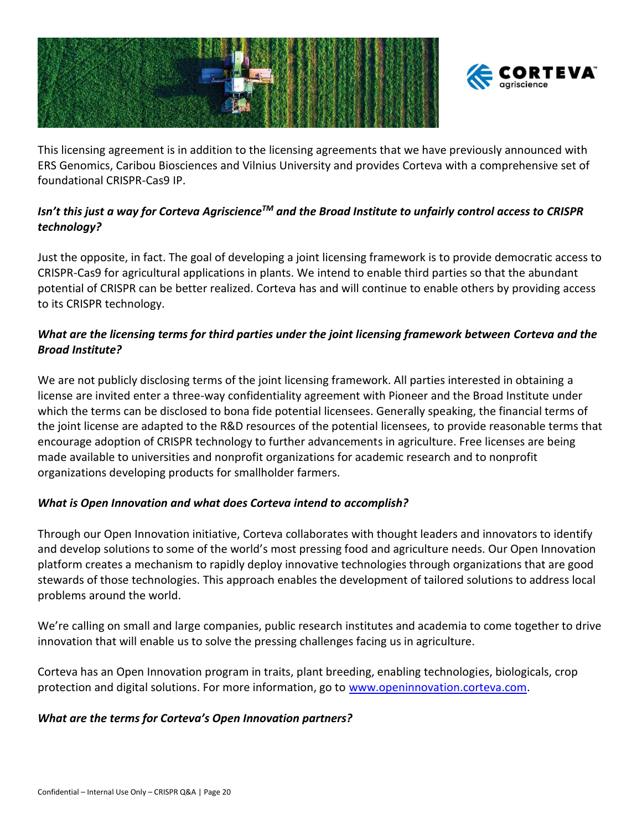



This licensing agreement is in addition to the licensing agreements that we have previously announced with ERS Genomics, Caribou Biosciences and Vilnius University and provides Corteva with a comprehensive set of foundational CRISPR-Cas9 IP.

# *Isn't this just a way for Corteva AgriscienceTM and the Broad Institute to unfairly control access to CRISPR technology?*

Just the opposite, in fact. The goal of developing a joint licensing framework is to provide democratic access to CRISPR-Cas9 for agricultural applications in plants. We intend to enable third parties so that the abundant potential of CRISPR can be better realized. Corteva has and will continue to enable others by providing access to its CRISPR technology.

# *What are the licensing terms for third parties under the joint licensing framework between Corteva and the Broad Institute?*

We are not publicly disclosing terms of the joint licensing framework. All parties interested in obtaining a license are invited enter a three-way confidentiality agreement with Pioneer and the Broad Institute under which the terms can be disclosed to bona fide potential licensees. Generally speaking, the financial terms of the joint license are adapted to the R&D resources of the potential licensees, to provide reasonable terms that encourage adoption of CRISPR technology to further advancements in agriculture. Free licenses are being made available to universities and nonprofit organizations for academic research and to nonprofit organizations developing products for smallholder farmers.

### *What is Open Innovation and what does Corteva intend to accomplish?*

Through our Open Innovation initiative, Corteva collaborates with thought leaders and innovators to identify and develop solutions to some of the world's most pressing food and agriculture needs. Our Open Innovation platform creates a mechanism to rapidly deploy innovative technologies through organizations that are good stewards of those technologies. This approach enables the development of tailored solutions to address local problems around the world.

We're calling on small and large companies, public research institutes and academia to come together to drive innovation that will enable us to solve the pressing challenges facing us in agriculture.

Corteva has an Open Innovation program in traits, plant breeding, enabling technologies, biologicals, crop protection and digital solutions. For more information, go to [www.openinnovation.corteva.com.](http://www.openinnovation.corteva.com/)

# *What are the terms for Corteva's Open Innovation partners?*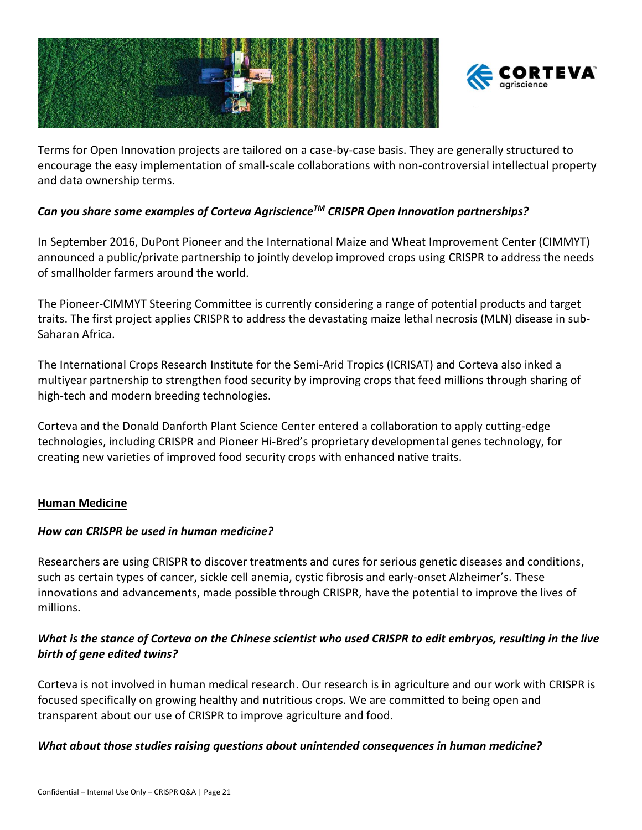



Terms for Open Innovation projects are tailored on a case-by-case basis. They are generally structured to encourage the easy implementation of small-scale collaborations with non-controversial intellectual property and data ownership terms.

### *Can you share some examples of Corteva AgriscienceTM CRISPR Open Innovation partnerships?*

In September 2016, DuPont Pioneer and the International Maize and Wheat Improvement Center (CIMMYT) announced a public/private partnership to jointly develop improved crops using CRISPR to address the needs of smallholder farmers around the world.

The Pioneer-CIMMYT Steering Committee is currently considering a range of potential products and target traits. The first project applies CRISPR to address the devastating maize lethal necrosis (MLN) disease in sub-Saharan Africa.

The International Crops Research Institute for the Semi-Arid Tropics (ICRISAT) and Corteva also inked a multiyear partnership to strengthen food security by improving crops that feed millions through sharing of high-tech and modern breeding technologies.

Corteva and the Donald Danforth Plant Science Center entered a collaboration to apply cutting-edge technologies, including CRISPR and Pioneer Hi-Bred's proprietary developmental genes technology, for creating new varieties of improved food security crops with enhanced native traits.

### <span id="page-20-0"></span>**Human Medicine**

### *How can CRISPR be used in human medicine?*

Researchers are using CRISPR to discover treatments and cures for serious genetic diseases and conditions, such as certain types of cancer, sickle cell anemia, cystic fibrosis and early-onset Alzheimer's. These innovations and advancements, made possible through CRISPR, have the potential to improve the lives of millions.

# *What is the stance of Corteva on the Chinese scientist who used CRISPR to edit embryos, resulting in the live birth of gene edited twins?*

Corteva is not involved in human medical research. Our research is in agriculture and our work with CRISPR is focused specifically on growing healthy and nutritious crops. We are committed to being open and transparent about our use of CRISPR to improve agriculture and food.

### *What about those studies raising questions about unintended consequences in human medicine?*